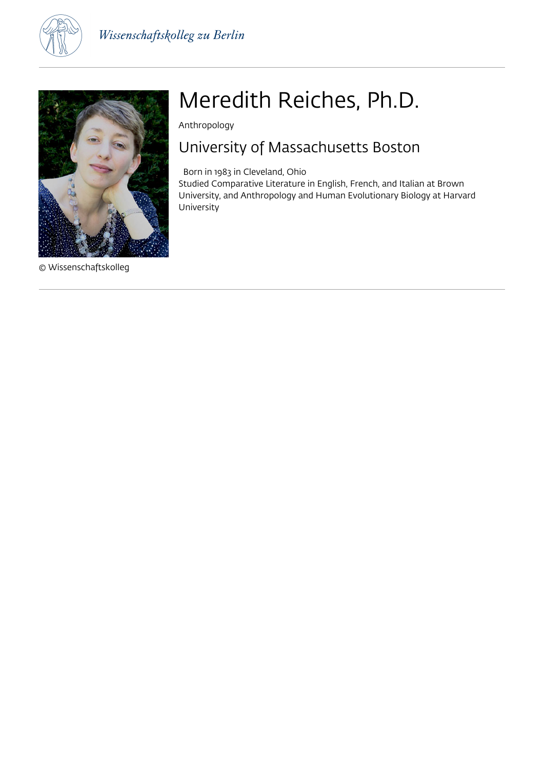



© Wissenschaftskolleg

# Meredith Reiches, Ph.D.

Anthropology

## University of Massachusetts Boston

Born in 1983 in Cleveland, Ohio

Studied Comparative Literature in English, French, and Italian at Brown University, and Anthropology and Human Evolutionary Biology at Harvard University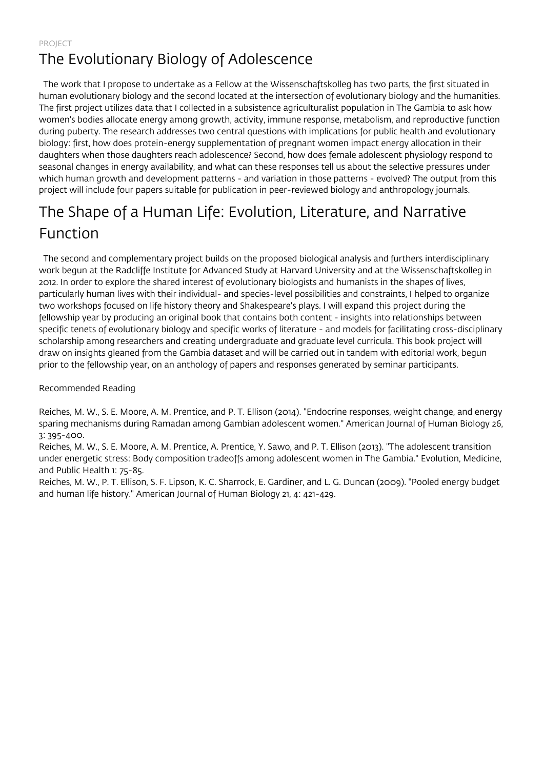### PROJECT The Evolutionary Biology of Adolescence

 The work that I propose to undertake as a Fellow at the Wissenschaftskolleg has two parts, the first situated in human evolutionary biology and the second located at the intersection of evolutionary biology and the humanities. The first project utilizes data that I collected in a subsistence agriculturalist population in The Gambia to ask how women's bodies allocate energy among growth, activity, immune response, metabolism, and reproductive function during puberty. The research addresses two central questions with implications for public health and evolutionary biology: first, how does protein-energy supplementation of pregnant women impact energy allocation in their daughters when those daughters reach adolescence? Second, how does female adolescent physiology respond to seasonal changes in energy availability, and what can these responses tell us about the selective pressures under which human growth and development patterns - and variation in those patterns - evolved? The output from this project will include four papers suitable for publication in peer-reviewed biology and anthropology journals.

# The Shape of a Human Life: Evolution, Literature, and Narrative Function

 The second and complementary project builds on the proposed biological analysis and furthers interdisciplinary work begun at the Radcliffe Institute for Advanced Study at Harvard University and at the Wissenschaftskolleg in 2012. In order to explore the shared interest of evolutionary biologists and humanists in the shapes of lives, particularly human lives with their individual- and species-level possibilities and constraints, I helped to organize two workshops focused on life history theory and Shakespeare's plays. I will expand this project during the fellowship year by producing an original book that contains both content - insights into relationships between specific tenets of evolutionary biology and specific works of literature - and models for facilitating cross-disciplinary scholarship among researchers and creating undergraduate and graduate level curricula. This book project will draw on insights gleaned from the Gambia dataset and will be carried out in tandem with editorial work, begun prior to the fellowship year, on an anthology of papers and responses generated by seminar participants.

### Recommended Reading

Reiches, M. W., S. E. Moore, A. M. Prentice, and P. T. Ellison (2014). "Endocrine responses, weight change, and energy sparing mechanisms during Ramadan among Gambian adolescent women." American Journal of Human Biology 26, 3: 395-400.

Reiches, M. W., S. E. Moore, A. M. Prentice, A. Prentice, Y. Sawo, and P. T. Ellison (2013). "The adolescent transition under energetic stress: Body composition tradeoffs among adolescent women in The Gambia." Evolution, Medicine, and Public Health 1: 75-85.

Reiches, M. W., P. T. Ellison, S. F. Lipson, K. C. Sharrock, E. Gardiner, and L. G. Duncan (2009). "Pooled energy budget and human life history." American Journal of Human Biology 21, 4: 421-429.